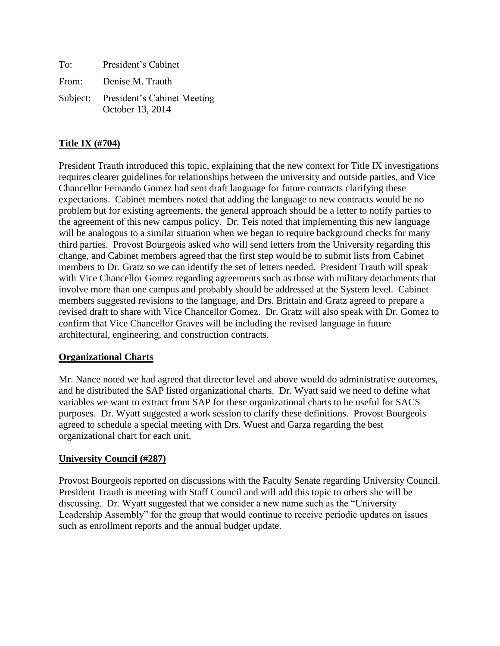| To:   | President's Cabinet                                      |
|-------|----------------------------------------------------------|
| From: | Denise M. Trauth                                         |
|       | Subject: President's Cabinet Meeting<br>October 13, 2014 |

# **Title IX (#704)**

President Trauth introduced this topic, explaining that the new context for Title IX investigations requires clearer guidelines for relationships between the university and outside parties, and Vice Chancellor Fernando Gomez had sent draft language for future contracts clarifying these expectations. Cabinet members noted that adding the language to new contracts would be no problem but for existing agreements, the general approach should be a letter to notify parties to the agreement of this new campus policy. Dr. Teis noted that implementing this new language will be analogous to a similar situation when we began to require background checks for many third parties. Provost Bourgeois asked who will send letters from the University regarding this change, and Cabinet members agreed that the first step would be to submit lists from Cabinet members to Dr. Gratz so we can identify the set of letters needed. President Trauth will speak with Vice Chancellor Gomez regarding agreements such as those with military detachments that involve more than one campus and probably should be addressed at the System level. Cabinet members suggested revisions to the language, and Drs. Brittain and Gratz agreed to prepare a revised draft to share with Vice Chancellor Gomez. Dr. Gratz will also speak with Dr. Gomez to confirm that Vice Chancellor Graves will be including the revised language in future architectural, engineering, and construction contracts.

# **Organizational Charts**

Mr. Nance noted we had agreed that director level and above would do administrative outcomes, and he distributed the SAP listed organizational charts. Dr. Wyatt said we need to define what variables we want to extract from SAP for these organizational charts to be useful for SACS purposes. Dr. Wyatt suggested a work session to clarify these definitions. Provost Bourgeois agreed to schedule a special meeting with Drs. Wuest and Garza regarding the best organizational chart for each unit.

# **University Council (#287)**

Provost Bourgeois reported on discussions with the Faculty Senate regarding University Council. President Trauth is meeting with Staff Council and will add this topic to others she will be discussing. Dr. Wyatt suggested that we consider a new name such as the "University Leadership Assembly" for the group that would continue to receive periodic updates on issues such as enrollment reports and the annual budget update.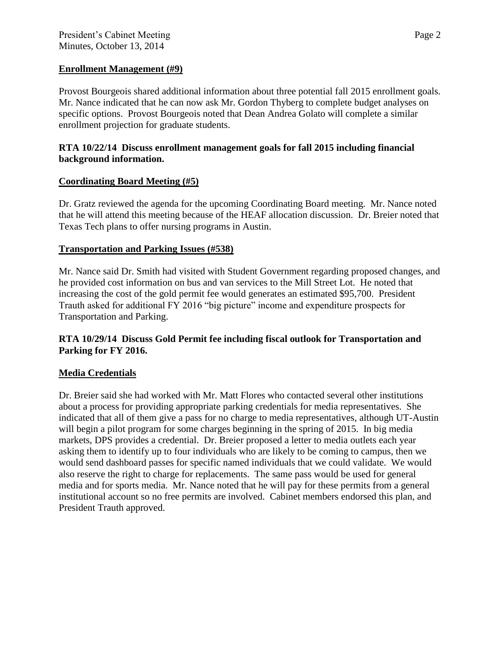#### **Enrollment Management (#9)**

Provost Bourgeois shared additional information about three potential fall 2015 enrollment goals. Mr. Nance indicated that he can now ask Mr. Gordon Thyberg to complete budget analyses on specific options. Provost Bourgeois noted that Dean Andrea Golato will complete a similar enrollment projection for graduate students.

### **RTA 10/22/14 Discuss enrollment management goals for fall 2015 including financial background information.**

# **Coordinating Board Meeting (#5)**

Dr. Gratz reviewed the agenda for the upcoming Coordinating Board meeting. Mr. Nance noted that he will attend this meeting because of the HEAF allocation discussion. Dr. Breier noted that Texas Tech plans to offer nursing programs in Austin.

### **Transportation and Parking Issues (#538)**

Mr. Nance said Dr. Smith had visited with Student Government regarding proposed changes, and he provided cost information on bus and van services to the Mill Street Lot. He noted that increasing the cost of the gold permit fee would generates an estimated \$95,700. President Trauth asked for additional FY 2016 "big picture" income and expenditure prospects for Transportation and Parking.

### **RTA 10/29/14 Discuss Gold Permit fee including fiscal outlook for Transportation and Parking for FY 2016.**

# **Media Credentials**

Dr. Breier said she had worked with Mr. Matt Flores who contacted several other institutions about a process for providing appropriate parking credentials for media representatives. She indicated that all of them give a pass for no charge to media representatives, although UT-Austin will begin a pilot program for some charges beginning in the spring of 2015. In big media markets, DPS provides a credential. Dr. Breier proposed a letter to media outlets each year asking them to identify up to four individuals who are likely to be coming to campus, then we would send dashboard passes for specific named individuals that we could validate. We would also reserve the right to charge for replacements. The same pass would be used for general media and for sports media. Mr. Nance noted that he will pay for these permits from a general institutional account so no free permits are involved. Cabinet members endorsed this plan, and President Trauth approved.